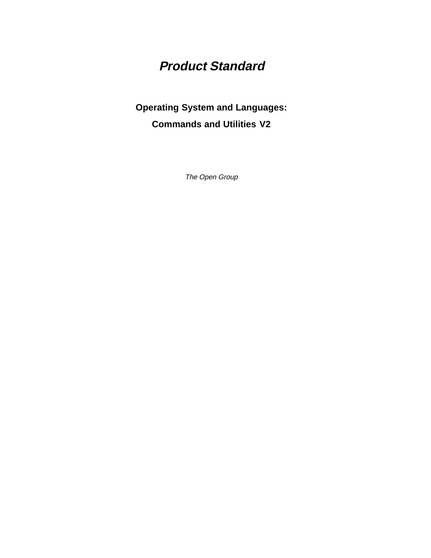# **Product Standard**

# **Operating System and Languages: Commands and Utilities V2**

The Open Group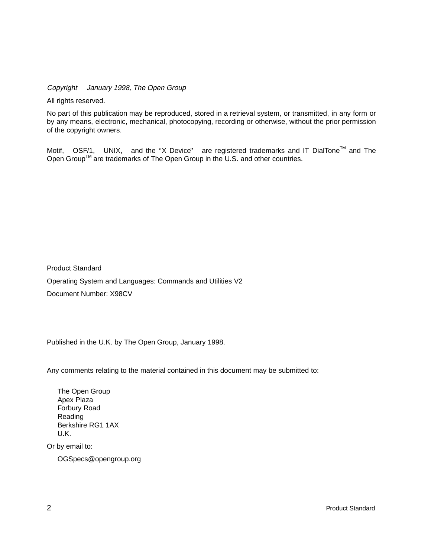Copyright  $\odot$  January 1998, The Open Group

All rights reserved.

No part of this publication may be reproduced, stored in a retrieval system, or transmitted, in any form or by any means, electronic, mechanical, photocopying, recording or otherwise, without the prior permission of the copyright owners.

Motif,  $^{\circledR}$  OSF/1,  $^{\circledR}$  UNIX,  $^{\circledR}$  and the "X Device" $^{\circledR}$  are registered trademarks and IT DialTone<sup>TM</sup> and The Open Group<sup>TM</sup> are trademarks of The Open Group in the U.S. and other countries.

Product Standard Operating System and Languages: Commands and Utilities V2 Document Number: X98CV

Published in the U.K. by The Open Group, January 1998.

Any comments relating to the material contained in this document may be submitted to:

The Open Group Apex Plaza Forbury Road Reading Berkshire RG1 1AX U.K.

Or by email to:

OGSpecs@opengroup.org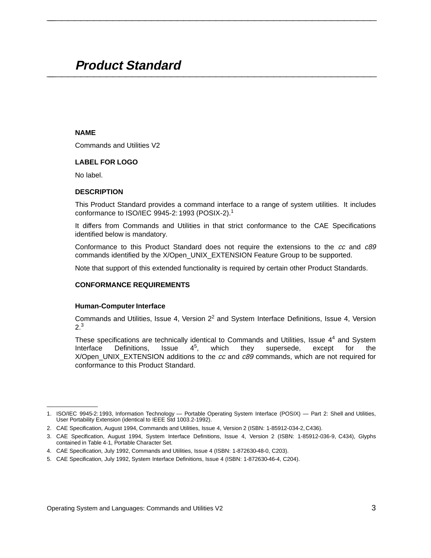# **Product Standard \_\_\_\_\_\_\_\_\_\_\_\_\_\_\_\_\_\_\_\_\_\_\_\_\_\_\_\_\_\_\_\_\_\_\_\_\_\_\_\_\_\_\_\_\_\_\_\_\_\_\_\_**

## **NAME**

Commands and Utilities V2

# **LABEL FOR LOGO**

No label.

\_\_\_\_\_\_\_\_\_\_\_\_\_\_\_\_\_\_

### **DESCRIPTION**

This Product Standard provides a command interface to a range of system utilities. It includes conformance to ISO/IEC 9945-2: 1993 (POSIX-2).<sup>1</sup>

**\_\_\_\_\_\_\_\_\_\_\_\_\_\_\_\_\_\_\_\_\_\_\_\_\_\_\_\_\_\_\_\_\_\_\_\_\_\_\_\_\_\_\_\_\_\_\_\_\_\_\_\_**

It differs from Commands and Utilities in that strict conformance to the CAE Specifications identified below is mandatory.

Conformance to this Product Standard does not require the extensions to the cc and c89 commands identified by the X/Open\_UNIX\_EXTENSION Feature Group to be supported.

Note that support of this extended functionality is required by certain other Product Standards.

# **CONFORMANCE REQUIREMENTS**

### **Human-Computer Interface**

Commands and Utilities, Issue 4, Version  $2<sup>2</sup>$  and System Interface Definitions, Issue 4, Version 2.3

These specifications are technically identical to Commands and Utilities, Issue 4<sup>4</sup> and System Interface Definitions, Issue  $4^5$ , which they supersede, except for the X/Open\_UNIX\_EXTENSION additions to the cc and c89 commands, which are not required for conformance to this Product Standard.

<sup>1.</sup> ISO/IEC 9945-2: 1993, Information Technology — Portable Operating System Interface (POSIX) — Part 2: Shell and Utilities, User Portability Extension (identical to IEEE Std 1003.2-1992).

<sup>2.</sup> CAE Specification, August 1994, Commands and Utilities, Issue 4, Version 2 (ISBN: 1-85912-034-2, C436).

<sup>3.</sup> CAE Specification, August 1994, System Interface Definitions, Issue 4, Version 2 (ISBN: 1-85912-036-9, C434), Glyphs contained in Table 4-1, Portable Character Set.

<sup>4.</sup> CAE Specification, July 1992, Commands and Utilities, Issue 4 (ISBN: 1-872630-48-0, C203).

<sup>5.</sup> CAE Specification, July 1992, System Interface Definitions, Issue 4 (ISBN: 1-872630-46-4, C204).